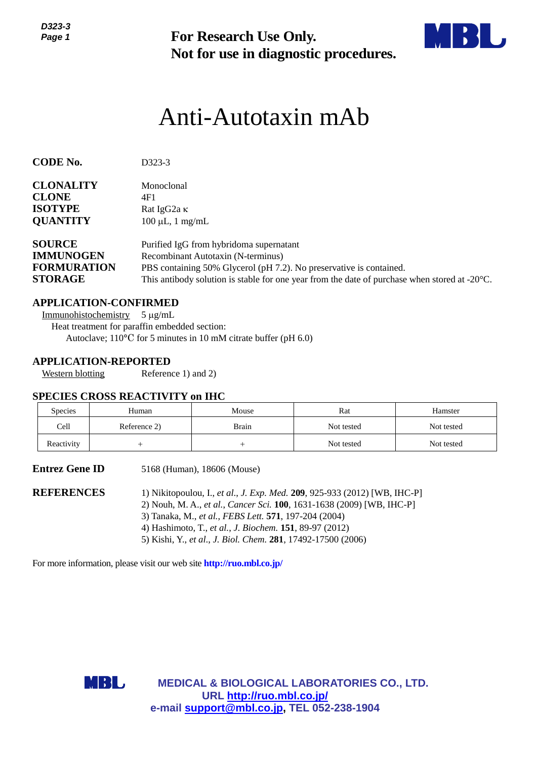

# Anti-Autotaxin mAb

| ט-טבע<br>Page 1                                                           |                                                                                                                                                     | <b>For Research Use Only.</b><br>Not for use in diagnostic procedures.                                                                                                                                                                                                                                                                 |            |            |  |  |  |
|---------------------------------------------------------------------------|-----------------------------------------------------------------------------------------------------------------------------------------------------|----------------------------------------------------------------------------------------------------------------------------------------------------------------------------------------------------------------------------------------------------------------------------------------------------------------------------------------|------------|------------|--|--|--|
|                                                                           |                                                                                                                                                     | Anti-Autotaxin mAb                                                                                                                                                                                                                                                                                                                     |            |            |  |  |  |
| <b>CODE No.</b>                                                           | D323-3                                                                                                                                              |                                                                                                                                                                                                                                                                                                                                        |            |            |  |  |  |
| <b>CLONALITY</b><br><b>CLONE</b><br><b>ISOTYPE</b><br><b>QUANTITY</b>     | Monoclonal<br>4F1<br>Rat IgG2a K                                                                                                                    | $100 \mu L$ , 1 mg/mL                                                                                                                                                                                                                                                                                                                  |            |            |  |  |  |
| <b>SOURCE</b><br><b>IMMUNOGEN</b><br><b>FORMURATION</b><br><b>STORAGE</b> |                                                                                                                                                     | Purified IgG from hybridoma supernatant<br>Recombinant Autotaxin (N-terminus)<br>PBS containing 50% Glycerol (pH 7.2). No preservative is contained.<br>This antibody solution is stable for one year from the date of purchase when stored at $-20^{\circ}$ C.                                                                        |            |            |  |  |  |
| Immunohistochemistry<br><b>Western blotting</b>                           | <b>APPLICATION-CONFIRMED</b><br>$5 \mu g/mL$<br>Heat treatment for paraffin embedded section:<br><b>APPLICATION-REPORTED</b><br>Reference 1) and 2) | Autoclave; $110^{\circ}$ C for 5 minutes in 10 mM citrate buffer (pH 6.0)                                                                                                                                                                                                                                                              |            |            |  |  |  |
| Species                                                                   | <b>SPECIES CROSS REACTIVITY on IHC</b><br>Human                                                                                                     | Mouse                                                                                                                                                                                                                                                                                                                                  | Rat        | Hamster    |  |  |  |
| Cell                                                                      | Reference 2)                                                                                                                                        | Brain                                                                                                                                                                                                                                                                                                                                  | Not tested | Not tested |  |  |  |
| Reactivity                                                                | $^{+}$                                                                                                                                              | $^{+}$                                                                                                                                                                                                                                                                                                                                 | Not tested | Not tested |  |  |  |
| <b>Entrez Gene ID</b>                                                     |                                                                                                                                                     | 5168 (Human), 18606 (Mouse)                                                                                                                                                                                                                                                                                                            |            |            |  |  |  |
| <b>REFERENCES</b>                                                         |                                                                                                                                                     | 1) Nikitopoulou, I., et al., J. Exp. Med. 209, 925-933 (2012) [WB, IHC-P]<br>2) Nouh, M. A., et al., Cancer Sci. 100, 1631-1638 (2009) [WB, IHC-P]<br>3) Tanaka, M., et al., FEBS Lett. 571, 197-204 (2004)<br>4) Hashimoto, T., et al., J. Biochem. 151, 89-97 (2012)<br>5) Kishi, Y., et al., J. Biol. Chem. 281, 17492-17500 (2006) |            |            |  |  |  |
|                                                                           | For more information, please visit our web site <b>http://ruo.mbl.co.jp/</b>                                                                        |                                                                                                                                                                                                                                                                                                                                        |            |            |  |  |  |
|                                                                           | MBI L                                                                                                                                               | <b>MEDICAL &amp; BIOLOGICAL LABORATORIES CO., LTD.</b>                                                                                                                                                                                                                                                                                 |            |            |  |  |  |
|                                                                           |                                                                                                                                                     | URL http://ruo.mbl.co.jp/<br>e-mail support@mbl.co.jp, TEL 052-238-1904                                                                                                                                                                                                                                                                |            |            |  |  |  |

## **APPLICATION-CONFIRMED**

## **APPLICATION-REPORTED**

## **SPECIES CROSS REACTIVITY on IHC**

| <b>Species</b> | Human        | Mouse        | Rat        | Hamster    |
|----------------|--------------|--------------|------------|------------|
| Cell           | Reference 2) | <b>Brain</b> | Not tested | Not tested |
| Reactivity     |              |              | Not tested | Not tested |

| <b>REFERENCES</b> | 1) Nikitopoulou, I., et al., J. Exp. Med. 209, 925-933 (2012) [WB, IHC-P] |
|-------------------|---------------------------------------------------------------------------|
|                   | 2) Nouh, M. A., et al., Cancer Sci. 100, 1631-1638 (2009) [WB, IHC-P]     |
|                   | 3) Tanaka, M., <i>et al., FEBS Lett.</i> <b>571</b> , 197-204 (2004)      |
|                   | 4) Hashimoto, T., et al., J. Biochem. 151, 89-97 (2012)                   |
|                   | 5) Kishi, Y., et al., J. Biol. Chem. 281, 17492-17500 (2006)              |

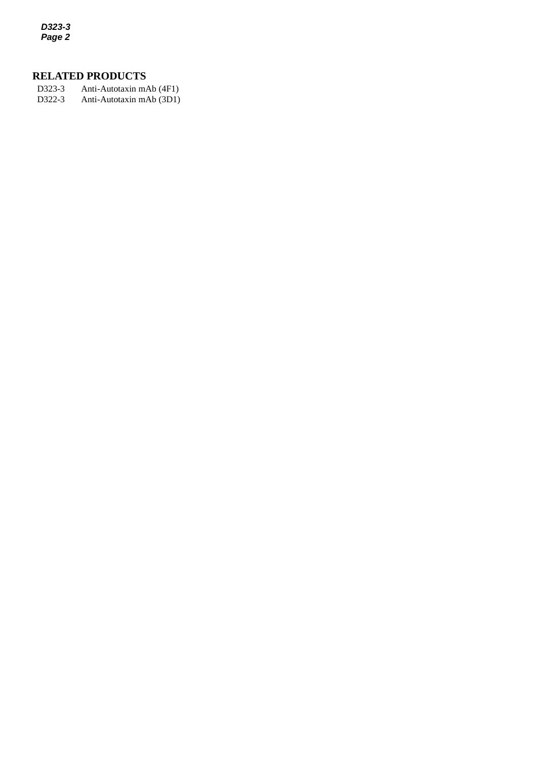*D323-3 Page 2*

## **RELATED PRODUCTS**

*2* D322-3 Anti-Autotaxin mAb (3D1)D323-3 Anti-Autotaxin mAb (4F1)